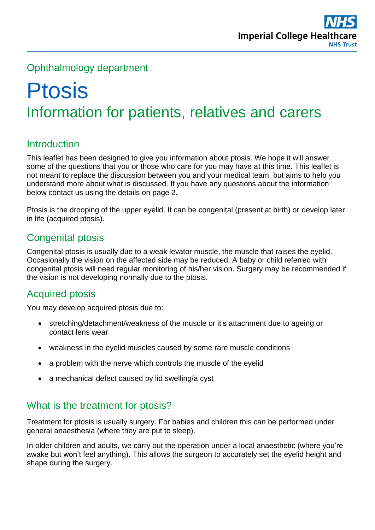## Ophthalmology department

# Ptosis Information for patients, relatives and carers

# **Introduction**

This leaflet has been designed to give you information about ptosis. We hope it will answer some of the questions that you or those who care for you may have at this time. This leaflet is not meant to replace the discussion between you and your medical team, but aims to help you understand more about what is discussed. If you have any questions about the information below contact us using the details on page 2.

Ptosis is the drooping of the upper eyelid. It can be congenital (present at birth) or develop later in life (acquired ptosis).

## Congenital ptosis

Congenital ptosis is usually due to a weak levator muscle, the muscle that raises the eyelid. Occasionally the vision on the affected side may be reduced. A baby or child referred with congenital ptosis will need regular monitoring of his/her vision. Surgery may be recommended if the vision is not developing normally due to the ptosis.

## Acquired ptosis

You may develop acquired ptosis due to:

- stretching/detachment/weakness of the muscle or it's attachment due to ageing or contact lens wear
- weakness in the eyelid muscles caused by some rare muscle conditions
- a problem with the nerve which controls the muscle of the eyelid
- a mechanical defect caused by lid swelling/a cyst

## What is the treatment for ptosis?

Treatment for ptosis is usually surgery. For babies and children this can be performed under general anaesthesia (where they are put to sleep).

In older children and adults, we carry out the operation under a local anaesthetic (where you're awake but won't feel anything). This allows the surgeon to accurately set the eyelid height and shape during the surgery.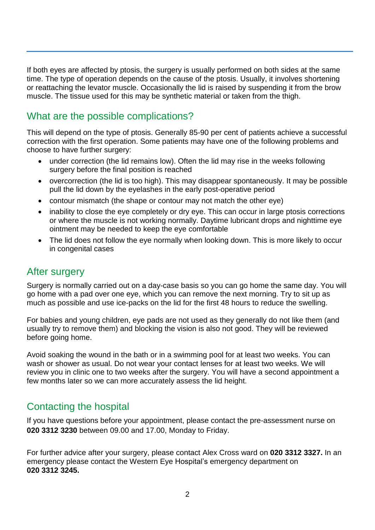If both eyes are affected by ptosis, the surgery is usually performed on both sides at the same time. The type of operation depends on the cause of the ptosis. Usually, it involves shortening or reattaching the levator muscle. Occasionally the lid is raised by suspending it from the brow muscle. The tissue used for this may be synthetic material or taken from the thigh.

## What are the possible complications?

This will depend on the type of ptosis. Generally 85-90 per cent of patients achieve a successful correction with the first operation. Some patients may have one of the following problems and choose to have further surgery:

- under correction (the lid remains low). Often the lid may rise in the weeks following surgery before the final position is reached
- overcorrection (the lid is too high). This may disappear spontaneously. It may be possible pull the lid down by the eyelashes in the early post-operative period
- contour mismatch (the shape or contour may not match the other eye)
- inability to close the eye completely or dry eye. This can occur in large ptosis corrections or where the muscle is not working normally. Daytime lubricant drops and nighttime eye ointment may be needed to keep the eye comfortable
- The lid does not follow the eye normally when looking down. This is more likely to occur in congenital cases

#### After surgery

Surgery is normally carried out on a day-case basis so you can go home the same day. You will go home with a pad over one eye, which you can remove the next morning. Try to sit up as much as possible and use ice-packs on the lid for the first 48 hours to reduce the swelling.

For babies and young children, eye pads are not used as they generally do not like them (and usually try to remove them) and blocking the vision is also not good. They will be reviewed before going home.

Avoid soaking the wound in the bath or in a swimming pool for at least two weeks. You can wash or shower as usual. Do not wear your contact lenses for at least two weeks. We will review you in clinic one to two weeks after the surgery. You will have a second appointment a few months later so we can more accurately assess the lid height.

## Contacting the hospital

If you have questions before your appointment, please contact the pre-assessment nurse on **020 3312 3230** between 09.00 and 17.00, Monday to Friday.

For further advice after your surgery, please contact Alex Cross ward on **020 3312 3327.** In an emergency please contact the Western Eye Hospital's emergency department on **020 3312 3245.**